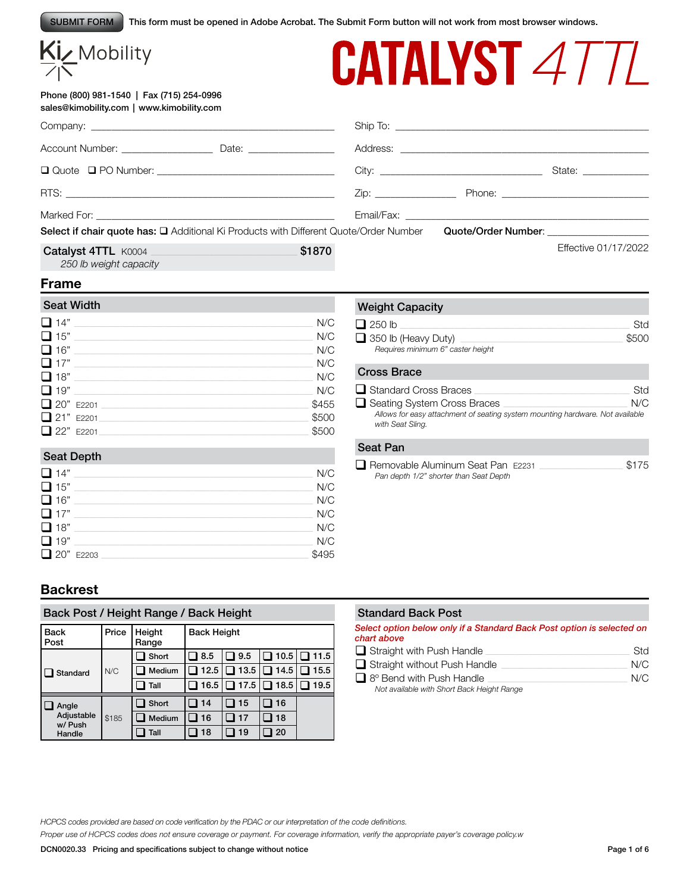This form must be opened in Adobe Acrobat. The Submit Form button will not work from most browser windows. SUBMIT FORM

# Kiz Mobility

## Phone (800) 981-1540 | Fax (715) 254-0996 sales@kimobility.com | www.kimobility.com

| <b>CATALYST 4TTL</b> |
|----------------------|
|----------------------|

|                                                                                       |        |  |                                        | State: National Contract of State: |  |
|---------------------------------------------------------------------------------------|--------|--|----------------------------------------|------------------------------------|--|
|                                                                                       |        |  |                                        |                                    |  |
| Select if chair quote has: Q Additional Ki Products with Different Quote/Order Number |        |  | Quote/Order Number: __________________ |                                    |  |
| Catalyst 4TTL K0004<br>250 lb weight capacity                                         | \$1870 |  |                                        | Effective 01/17/2022               |  |

## **Frame**

| <b>Seat Width</b> |       |
|-------------------|-------|
| $\Box$ 14"        | N/C   |
| $\Box$ 15"        | N/C   |
| $\Box$ 16"        | N/C   |
| $\Box$ 17"        | N/C   |
| $\Box$ 18"        | N/C   |
| $\Box$ 19"        | N/C   |
| 20" E2201         | \$455 |
| 21" E2201         | \$500 |
| 22" F2201         | \$500 |

## Weight Capacity

| $\Box$ 250 lb                     | Std   |
|-----------------------------------|-------|
| $\Box$ 350 lb (Heavy Duty)        | \$500 |
| Requires minimum 6" caster height |       |

#### Cross Brace

| Standard Cross Braces              | Std                                                                           |
|------------------------------------|-------------------------------------------------------------------------------|
| $\Box$ Seating System Cross Braces | N/C                                                                           |
| with Seat Sling.                   | Allows for easy attachment of seating system mounting hardware. Not available |

#### Seat Depth

| $\Box$ 14" | N/C   |
|------------|-------|
| $\Box$ 15" | N/C   |
| $\Box$ 16" | N/C   |
| $\Box$ 17" | N/C   |
| $\Box$ 18" | N/C   |
| $\Box$ 19" | N/C   |
| 20" E2203  | \$495 |
|            |       |

### Seat Pan

q Removable Aluminum Seat Pan E2231 \_\_\_\_\_\_\_\_\_\_\_\_\_\_\_\_\_\_\_\_\_\_\_\_\_\_\_\_\_\_\_\_\_\_\_\_\_ \$175 *Pan depth 1/2" shorter than Seat Depth*

## **Backrest**

| Back Post / Height Range / Back Height |       |                 |                    |            |      |      |  |
|----------------------------------------|-------|-----------------|--------------------|------------|------|------|--|
| <b>Back</b><br>Post                    | Price | Height<br>Range | <b>Back Height</b> |            |      |      |  |
|                                        |       | Short           | 8.5                | $\Box$ 9.5 | 10.5 | 11.5 |  |
| Standard                               | N/C   | Medium          | 12.5               | 13.5       | 14.5 | 15.5 |  |
|                                        |       | Tall            | 16.5               | ∃ 17.5     | 18.5 | 19.5 |  |
| Angle                                  |       | Short           | 14                 | 15         | 16   |      |  |
| Adjustable<br>w/ Push                  | \$185 | Medium          | 16                 | 17         | 18   |      |  |
| Handle                                 |       | Tall            | 18                 | 19         | 20   |      |  |

#### Standard Back Post

*Select option below only if a Standard Back Post option is selected on chart above*

| $\Box$ Straight with Push Handle           | Std |
|--------------------------------------------|-----|
| $\Box$ Straight without Push Handle        | N/C |
| $\Box$ 8° Bend with Push Handle            | N/C |
| Not available with Short Back Height Range |     |

*HCPCS codes provided are based on code verification by the PDAC or our interpretation of the code definitions.*

*Proper use of HCPCS codes does not ensure coverage or payment. For coverage information, verify the appropriate payer's coverage policy.w*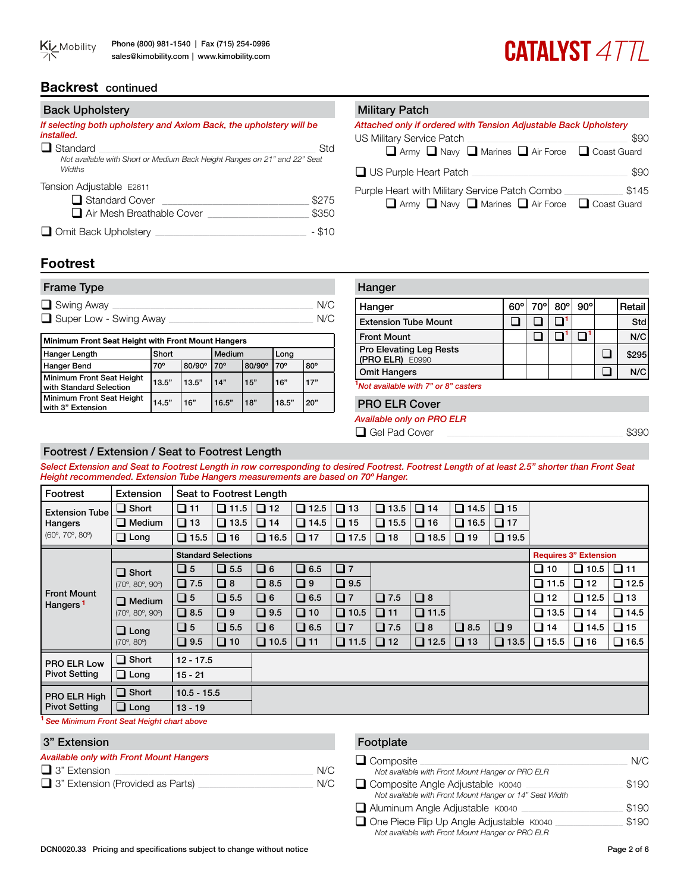## **CATALYST 4TTL**

## **Backrest** continued

| <b>Back Upholstery</b>                                                                     |        |
|--------------------------------------------------------------------------------------------|--------|
| If selecting both upholstery and Axiom Back, the upholstery will be<br><i>installed.</i>   |        |
| $\Box$ Standard                                                                            | Std    |
| Not available with Short or Medium Back Height Ranges on 21" and 22" Seat<br><b>Widths</b> |        |
| Tension Adjustable E2611                                                                   |        |
| $\Box$ Standard Cover                                                                      | \$275  |
| Air Mesh Breathable Cover                                                                  | \$350  |
| $\Box$ Omit Back Upholstery                                                                | - \$10 |

#### **Military Patch**

| Attached only if ordered with Tension Adjustable Back Upholstery |      |
|------------------------------------------------------------------|------|
| US Military Service Patch                                        | \$90 |
| □ Army □ Navy □ Marines □ Air Force □ Coast Guard                |      |
| $\Box$ US Purple Heart Patch                                     | \$90 |

Purple Heart with Military Service Patch Combo \_\_\_\_\_\_\_\_\_\_\_\_\_\_\_\_\_\_\_\_\_\_\_\_\_\_\_\_\_\_\_\_\_\_  $\Box$  Army  $\Box$  Navy  $\Box$  Marines  $\Box$  Air Force  $\Box$  Coast Guard

## **Footrest**

| <b>Frame Type</b>      |     |
|------------------------|-----|
| $\Box$ Swing Away      | N/C |
| Super Low - Swing Away | N/C |

| Minimum Front Seat Height with Front Mount Hangers   |              |        |              |        |              |            |  |
|------------------------------------------------------|--------------|--------|--------------|--------|--------------|------------|--|
| Hanger Length                                        | Short        |        | Medium       |        | Long         |            |  |
| Hanger Bend                                          | $70^{\circ}$ | 80/90° | $70^{\circ}$ | 80/90° | $70^{\circ}$ | $80^\circ$ |  |
| Minimum Front Seat Height<br>with Standard Selection | 13.5"        | 13.5"  | 14"          | 15"    | 16"          | 17"        |  |
| Minimum Front Seat Height<br>with 3" Extension       | 14.5"        | 16"    | 16.5"        | 18"    | 18.5"        | 20"        |  |

| Hanger                                            |            |     |            |            |        |
|---------------------------------------------------|------------|-----|------------|------------|--------|
| Hanger                                            | $60^\circ$ | 70° | $80^\circ$ | $90^\circ$ | Retail |
| <b>Extension Tube Mount</b>                       |            |     |            |            | Std    |
| <b>Front Mount</b>                                |            |     |            |            | N/C    |
| <b>Pro Elevating Leg Rests</b><br>(PRO ELR) E0990 |            |     |            |            | \$295  |
| <b>Omit Hangers</b>                               |            |     |            |            | N/C    |
| Not available with 7" or 8" casters               |            |     |            |            |        |
| <b>PRO ELR Cover</b>                              |            |     |            |            |        |
|                                                   |            |     |            |            |        |

#### *Available only on PRO ELR*

 $\Box$  Gel Pad Cover

## Footrest / Extension / Seat to Footrest Length

*Select Extension and Seat to Footrest Length in row corresponding to desired Footrest. Footrest Length of at least 2.5" shorter than Front Seat Height recommended. Extension Tube Hangers measurements are based on 70º Hanger.* 

| Footrest                                          | Extension                              |               | Seat to Footrest Length    |             |             |             |               |             |                |                              |             |                       |                |
|---------------------------------------------------|----------------------------------------|---------------|----------------------------|-------------|-------------|-------------|---------------|-------------|----------------|------------------------------|-------------|-----------------------|----------------|
| <b>Extension Tube</b>                             | $\Box$ Short                           | $\Box$ 11     | $\Box$ 11.5                | $\Box$ 12   | $\Box$ 12.5 | $\Box$ 13   | □<br>13.5     | $\Box$ 14   | $\Box$<br>14.5 | $\Box$ 15                    |             |                       |                |
| Hangers<br>$(60^{\circ}, 70^{\circ}, 80^{\circ})$ | $\Box$ Medium                          | $\Box$ 13     | $\Box$ 13.5                | $\Box$ 14   | $\Box$ 14.5 | $\Box$ 15   | $\Box$ 15.5   | $\Box$ 16   | □<br>16.5      | $\Box$ 17                    |             |                       |                |
|                                                   | $\Box$ Long                            | $\Box$ 15.5   | $\Box$ 16                  | $\Box$ 16.5 | $\Box$ 17   | $\Box$ 17.5 | $\Box$ 18     | $\Box$ 18.5 | $\Box$ 19      | $\Box$ 19.5                  |             |                       |                |
|                                                   |                                        |               | <b>Standard Selections</b> |             |             |             |               |             |                | <b>Requires 3" Extension</b> |             |                       |                |
|                                                   | $\Box$ Short                           | $\Box$ 5      | $\Box$ 5.5                 | $\Box$ 6    | $\Box$ 6.5  | Q7          |               |             |                |                              | $\Box$ 10   | $\Box$ 10.5 $\Box$ 11 |                |
| $(70^{\circ}, 80^{\circ}, 90^{\circ})$            |                                        | $\Box$ 7.5    | $\Box$ 8                   | $\Box$ 8.5  | $\Box$      | $\Box$ 9.5  |               |             |                |                              | $\Box$ 11.5 | $\Box$ 12             | $\square$ 12.5 |
| <b>Front Mount</b><br>Hangers <sup>1</sup>        | $\Box$ Medium                          | $\Box$ 5      | $\Box$ 5.5                 | $\Box$ 6    | $\Box$ 6.5  | $\Box$ 7    | $\square$ 7.5 | $\Box$ 8    |                |                              | $\Box$ 12   | $\Box$ 12.5           | $\Box$ 13      |
|                                                   | $(70^{\circ}, 80^{\circ}, 90^{\circ})$ | $\Box$ 8.5    | $\Box$                     | $\Box$ 9.5  | $\Box$ 10   | $\Box$ 10.5 | $\Box$ 11     | $\Box$ 11.5 |                |                              | $\Box$ 13.5 | $\Box$ 14             | $\Box$ 14.5    |
|                                                   | $\Box$ Long                            | $\Box$ 5      | $\Box$ 5.5                 | $\Box$ 6    | $\Box$ 6.5  | $\Box$ 7    | $\Box$ 7.5    | $\Box$ 8    | $\Box$ 8.5     | $\Box$                       | $\Box$ 14   | $\Box$ 14.5           | $\Box$ 15      |
|                                                   | $(70^{\circ}, 80^{\circ})$             | $\Box$ 9.5    | $\Box$ 10                  | $\Box$ 10.5 | $\Box$ 11   | $\Box$ 11.5 | $\Box$ 12     | $\Box$ 12.5 | $\Box$ 13      | $\Box$ 13.5                  | $\Box$ 15.5 | $\Box$ 16             | $\Box$ 16.5    |
| PRO ELR Low                                       | $\Box$ Short                           | $12 - 17.5$   |                            |             |             |             |               |             |                |                              |             |                       |                |
| <b>Pivot Setting</b>                              | $\Box$ Long                            | $15 - 21$     |                            |             |             |             |               |             |                |                              |             |                       |                |
| PRO ELR High                                      | $\Box$ Short                           | $10.5 - 15.5$ |                            |             |             |             |               |             |                |                              |             |                       |                |
| <b>Pivot Setting</b>                              | $\Box$ Long                            | $13 - 19$     |                            |             |             |             |               |             |                |                              |             |                       |                |
| Can Minimum Fuant Cant Univide shout shoup        |                                        |               |                            |             |             |             |               |             |                |                              |             |                       |                |

**<sup>1</sup>** *See Minimum Front Seat Height chart above*

## 3" Extension

| <b>Available only with Front Mount Hangers</b> |     |
|------------------------------------------------|-----|
| $\Box$ 3" Extension                            | N/C |
| $\Box$ 3" Extension (Provided as Parts)        | N/C |

#### Footplate q Composite \_\_\_\_\_\_\_\_\_\_\_\_\_\_\_\_\_\_\_\_\_\_\_\_\_\_\_\_\_\_\_\_\_\_\_\_\_\_\_\_\_\_\_\_\_\_\_\_\_\_\_\_\_\_\_\_\_\_\_\_\_\_\_\_\_\_\_\_\_\_\_\_\_\_\_\_\_\_\_\_\_\_\_\_\_\_\_\_\_\_\_\_ N/C *Not available with Front Mount Hanger or PRO ELR* q Composite Angle Adjustable K0040 \_\_\_\_\_\_\_\_\_\_\_\_\_\_\_\_\_\_\_\_\_\_\_\_\_\_\_\_\_\_\_\_\_\_\_\_\_\_\_\_\_\_\_ \$190 *Not available with Front Mount Hanger or 14" Seat Width* q Aluminum Angle Adjustable K0040 \_\_\_\_\_\_\_\_\_\_\_\_\_\_\_\_\_\_\_\_\_\_\_\_\_\_\_\_\_\_\_\_\_\_\_\_\_\_\_\_\_\_\_\_\_ \$190 □ One Piece Flip Up Angle Adjustable K0040 <br>
\$190

*Not available with Front Mount Hanger or PRO ELR*

DCN0020.33 Pricing and specifications subject to change without notice Page 2 of 6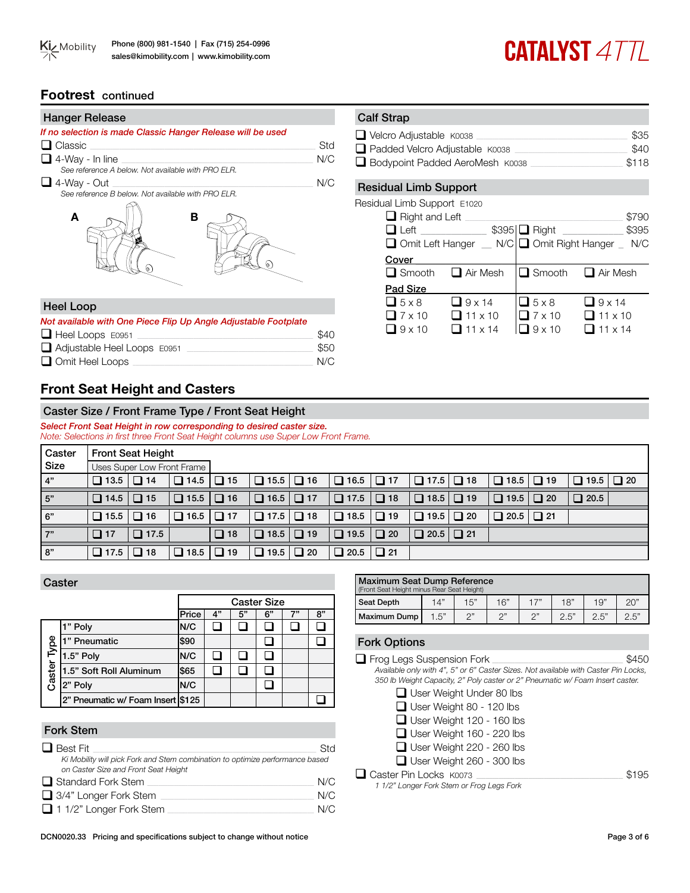

## **CATALYST 477L**

## **Footrest** continued

| <b>Hanger Release</b>                                       |     |
|-------------------------------------------------------------|-----|
| If no selection is made Classic Hanger Release will be used |     |
| $\Box$ Classic                                              | Std |
| $\Box$ 4-Way - In line                                      | N/C |
| See reference A below. Not available with PRO ELR.          |     |
| $\Box$ 4-Way - Out                                          | N/C |
| See reference B below. Not available with PRO ELR.          |     |



#### Heel Loop

| Not available with One Piece Flip Up Angle Adjustable Footplate |      |
|-----------------------------------------------------------------|------|
| $\Box$ Heel Loops E0951                                         | \$40 |
| $\Box$ Adjustable Heel Loops $E0951$                            | \$50 |
| $\Box$ Omit Heel Loops                                          | N/C  |

## **Front Seat Height and Casters**

### Caster Size / Front Frame Type / Front Seat Height

*Select Front Seat Height in row corresponding to desired caster size. Note: Selections in first three Front Seat Height columns use Super Low Front Frame.* 

| Caster          |                       | <b>Front Seat Height</b> |                            |           |                       |             |           |             |           |             |           |                       |  |
|-----------------|-----------------------|--------------------------|----------------------------|-----------|-----------------------|-------------|-----------|-------------|-----------|-------------|-----------|-----------------------|--|
| Size            |                       |                          | Uses Super Low Front Frame |           |                       |             |           |             |           |             |           |                       |  |
| 4"              | $\Box$ 13.5 $\Box$ 14 |                          | $\Box$ 14.5 $\Box$ 15      |           | $\Box$ 15.5 $\Box$ 16 | $\Box$ 16.5 | $\Box$ 17 |             |           | $\Box$ 18.5 | $\Box$ 19 | $\Box$ 19.5 $\Box$ 20 |  |
| $\overline{5"}$ | $\Box$ 14.5 $\Box$ 15 |                          | $\Box$ 15.5 $\Box$ 16      |           |                       | $\Box$ 17.5 | $\Box$ 18 |             |           | $\Box$ 19.5 | $\Box$ 20 | □ 20.5                |  |
| 6"              | $\Box$ 15.5           | $\Box$ 16                | $\Box$ 16.5 $\Box$ 17      |           |                       | $\Box$ 18.5 | $\Box$ 19 | $\Box$ 19.5 | $\Box$ 20 | $\Box$ 20.5 | $\Box$ 21 |                       |  |
| 7"              | $\Box$ 17             | $\Box$ 17.5              |                            | $\Box$ 18 | $\Box$ 18.5 $\Box$ 19 | $\Box$ 19.5 | $\Box$ 20 | $\Box$ 20.5 | $\Box$ 21 |             |           |                       |  |
| 8"              | $\Box$ 17.5           | $\Box$ 18                | $\Box$ 18.5 $\Box$ 19      |           | $\Box$ 19.5 $\Box$ 20 | $\Box$ 20.5 | $\Box$ 21 |             |           |             |           |                       |  |

|             | Caster                              |       |    |                    |    |    |    |  |  |
|-------------|-------------------------------------|-------|----|--------------------|----|----|----|--|--|
|             |                                     |       |    | <b>Caster Size</b> |    |    |    |  |  |
|             |                                     | Price | 4" | 5"                 | 6" | 7" | 8" |  |  |
|             | " Poly                              | N/C   |    |                    |    |    |    |  |  |
|             | " Pneumatic                         | \$90  |    |                    |    |    |    |  |  |
| Caster Type | 1.5" Poly                           | N/C   |    |                    |    |    |    |  |  |
|             | 1.5" Soft Roll Aluminum             | \$65  |    |                    |    |    |    |  |  |
|             | 2" Poly                             | N/C   |    |                    |    |    |    |  |  |
|             | 2" Pneumatic w/ Foam Insert   \$125 |       |    |                    |    |    |    |  |  |

### Fork Stem

| $\Box$ Best Fit                                                                                                       | Std |
|-----------------------------------------------------------------------------------------------------------------------|-----|
| Ki Mobility will pick Fork and Stem combination to optimize performance based<br>on Caster Size and Front Seat Height |     |
| □ Standard Fork Stem                                                                                                  | N/C |
| $\Box$ 3/4" Longer Fork Stem                                                                                          | N/C |
| $\Box$ 1 1/2" Longer Fork Stem                                                                                        | N/C |

| <b>Maximum Seat Dump Reference</b><br>(Front Seat Height minus Rear Seat Height) |      |     |     |     |      |      |      |  |  |  |
|----------------------------------------------------------------------------------|------|-----|-----|-----|------|------|------|--|--|--|
| Seat Depth                                                                       | 14"  | 15" | 16" | 17" | 18"  | 19"  | 20'  |  |  |  |
| Maximum Dump                                                                     | 1.5" | n"  | n"  | つ"  | 2.5" | 2.5" | 2.5" |  |  |  |

#### Fork Options

| $\Box$ Frog Legs Suspension Fork                                                    |       |
|-------------------------------------------------------------------------------------|-------|
| Available only with 4", 5" or 6" Caster Sizes. Not available with Caster Pin Locks, |       |
| 350 lb Weight Capacity, 2" Poly caster or 2" Pneumatic w/ Foam Insert caster.       |       |
| □ User Weight Under 80 lbs                                                          |       |
| $\Box$ User Weight 80 - 120 lbs                                                     |       |
| $\Box$ User Weight 120 - 160 lbs                                                    |       |
| $\Box$ User Weight 160 - 220 lbs                                                    |       |
| $\Box$ User Weight 220 - 260 lbs                                                    |       |
| $\Box$ User Weight 260 - 300 lbs                                                    |       |
| Caster Pin Locks K0073                                                              | \$195 |
| 1 1/2" Longer Fork Stem or Frog Legs Fork                                           |       |

DCN0020.33 Pricing and specifications subject to change without notice Page 3 of 6

| $\Box$ Velcro Adjustable $K0038$  | \$35  |
|-----------------------------------|-------|
| Padded Velcro Adjustable K0038    | \$40  |
| □ Bodypoint Padded AeroMesh K0038 | \$118 |

## Residual Limb Support

| Residual Limb Support E1020 |  |  |
|-----------------------------|--|--|
|-----------------------------|--|--|

| $\Box$ Right and Left |                 |                  | \$790                                            |
|-----------------------|-----------------|------------------|--------------------------------------------------|
| $\Box$ Left           |                 | \$395   Right __ | \$395                                            |
|                       |                 |                  | □ Omit Left Hanger _ N/C Omit Right Hanger _ N/C |
| Cover                 |                 |                  |                                                  |
| $\Box$ Smooth         | Air Mesh        |                  | $\Box$ Smooth $\Box$ Air Mesh                    |
| Pad Size              |                 |                  |                                                  |
| $\Box$ 5 x 8          | $\Box$ 9 x 14   | $\Box$ 5 x 8     | $\Box$ 9 x 14                                    |
| $\Box$ 7 x 10         | $\Box$ 11 x 10  | $7 \times 10$    | $\Box$ 11 x 10                                   |
| $\Box$ 9 x 10         | $111 \times 14$ | $9 \times 10$    | $11 \times 14$                                   |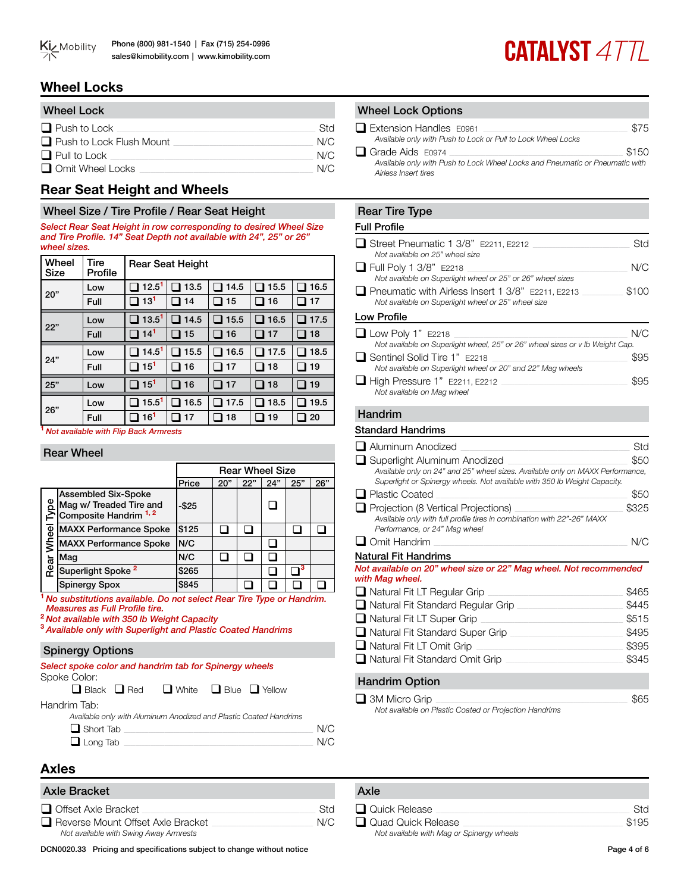

## **Wheel Locks**

| <b>Wheel Lock</b>               |     |
|---------------------------------|-----|
| $\Box$ Push to Lock             | Std |
| $\Box$ Push to Lock Flush Mount | N/C |
| $\Box$ Pull to Lock             | N/C |
| $\Box$ Omit Wheel Locks         | N/C |

## **Rear Seat Height and Wheels**

## Wheel Size / Tire Profile / Rear Seat Height

*Select Rear Seat Height in row corresponding to desired Wheel Size and Tire Profile. 14" Seat Depth not available with 24", 25" or 26" wheel sizes.* 

| Wheel<br>Size | <b>Tire</b><br>Profile |                   | <b>Rear Seat Height</b> |      |                                |      |
|---------------|------------------------|-------------------|-------------------------|------|--------------------------------|------|
| 20"           | Low                    | 12.5 <sup>1</sup> | 13.5                    | 14.5 | 15.5                           | 16.5 |
|               | Full                   | 13 <sup>1</sup>   | 14                      | 15   | 16                             | 17   |
|               | Low                    | 13.5 <sup>1</sup> | 14.5                    | 15.5 | 16.5                           | 17.5 |
| 22"           | Full                   | 14 <sup>1</sup>   | 15                      | 16   | 17                             | 18   |
|               |                        |                   |                         |      |                                |      |
|               | Low                    | 14.5 <sup>1</sup> | 15.5                    | 16.5 | 17.5                           | 18.5 |
| 24"           | Full                   | 15 <sup>1</sup>   | 16                      | 17   | 18<br>$\overline{\phantom{a}}$ | 19   |
| 25"           | Low                    | $15^{1}$          | 16                      | 17   | 18<br>п                        | 19   |
| 26"           | Low                    | 15.5 <sup>1</sup> | 16.5                    | 17.5 | 18.5                           | 19.5 |

**<sup>1</sup>***Not available with Flip Back Armrests*

## Rear Wheel

|       |                                                                                           | <b>Rear Wheel Size</b> |     |     |     |     |     |
|-------|-------------------------------------------------------------------------------------------|------------------------|-----|-----|-----|-----|-----|
|       |                                                                                           | Price                  | 20" | 22" | 24" | 25" | 26" |
| 8     | <b>Assembled Six-Spoke</b><br>Mag w/ Treaded Tire and<br>Composite Handrim <sup>1,2</sup> | $-$ \$25               |     |     |     |     |     |
|       | <b>MAXX Performance Spoke</b>                                                             | \$125                  |     |     |     |     |     |
| Wheel | <b>MAXX Performance Spoke</b>                                                             | N/C                    |     |     |     |     |     |
|       | Maq                                                                                       | N/C                    |     |     |     |     |     |
| Rear  | Superlight Spoke <sup>2</sup>                                                             | \$265                  |     |     |     |     |     |
|       | <b>Spinergy Spox</b>                                                                      | \$845                  |     |     |     |     |     |

**<sup>1</sup>** *No substitutions available. Do not select Rear Tire Type or Handrim. Measures as Full Profile tire.*

**<sup>2</sup>***Not available with 350 lb Weight Capacity*

**<sup>3</sup>***Available only with Superlight and Plastic Coated Handrims*

## Spinergy Options

*Select spoke color and handrim tab for Spinergy wheels* Spoke Color:

 $\Box$  Black  $\Box$  Red  $\Box$  White  $\Box$  Blue  $\Box$  Yellow

Handrim Tab:

| Available only with Aluminum Anodized and Plastic Coated Handrims |     |
|-------------------------------------------------------------------|-----|
| $\Box$ Short Tab                                                  | N/C |
| $\overline{\phantom{a}}$                                          |     |

## q Long Tab \_\_\_\_\_\_\_\_\_\_\_\_\_\_\_\_\_\_\_\_\_\_\_\_\_\_\_\_\_\_\_\_\_\_\_\_\_\_\_\_\_\_\_\_\_\_\_\_\_\_\_\_\_\_\_\_\_\_\_\_\_\_\_\_\_\_\_\_\_\_\_\_\_\_\_\_\_\_\_\_\_\_\_\_ N/C

## **Axles**

## Axle Bracket

| <b>ANIC DIAVREL</b>                    |            |
|----------------------------------------|------------|
| $\Box$ Offset Axle Bracket             | <b>Std</b> |
| Reverse Mount Offset Axle Bracket      | N/C        |
| Not available with Swing Away Armrests |            |

DCN0020.33 Pricing and specifications subject to change without notice Page 4 of 6

### **Wheel Lock Options**

| $\Box$ Extension Handles $E0961$                                                                     | \$75  |
|------------------------------------------------------------------------------------------------------|-------|
| Available only with Push to Lock or Pull to Lock Wheel Locks                                         |       |
| $\Box$ Grade Aids E0974                                                                              | \$150 |
| Available only with Push to Lock Wheel Locks and Pneumatic or Pneumatic with<br>Airless Insert tires |       |

## Rear Tire Type

#### Full Profile

| Street Pneumatic 1 3/8" E2211, E2212<br>Not available on 25" wheel size                                         | Std   |
|-----------------------------------------------------------------------------------------------------------------|-------|
| $\Box$ Full Poly 1 3/8" E2218                                                                                   | N/C   |
| Not available on Superlight wheel or 25" or 26" wheel sizes                                                     |       |
| $\Box$ Pneumatic with Airless Insert 1 3/8" E2211, E2213<br>Not available on Superlight wheel or 25" wheel size | \$100 |
| Low Profile                                                                                                     |       |
| $\Box$ Low Poly 1" E2218                                                                                        | N/C   |
| Not available on Superlight wheel, 25" or 26" wheel sizes or v lb Weight Cap.                                   |       |
| □ Sentinel Solid Tire 1" E2218                                                                                  | \$95  |
| Not available on Superlight wheel or 20" and 22" Mag wheels                                                     |       |
| $\Box$ High Pressure 1" E2211, E2212<br>Not available on Mag wheel                                              | 895   |

#### Handrim

#### Standard Handrims

| □ Aluminum Anodized                                                                                                                                         | Std   |
|-------------------------------------------------------------------------------------------------------------------------------------------------------------|-------|
| □ Superlight Aluminum Anodized                                                                                                                              | \$50  |
| Available only on 24" and 25" wheel sizes. Available only on MAXX Performance,<br>Superlight or Spinergy wheels. Not available with 350 lb Weight Capacity. |       |
| <b>□</b> Plastic Coated                                                                                                                                     | \$50  |
| □ Projection (8 Vertical Projections)<br>Available only with full profile tires in combination with 22"-26" MAXX<br>Performance, or 24" Mag wheel           | \$325 |
| $\Box$ Omit Handrim                                                                                                                                         | N/C   |
| Natural Fit Handrims                                                                                                                                        |       |
| Not available on 20" wheel size or 22" Mag wheel. Not recommended<br>with Mag wheel.                                                                        |       |
| $\Box$ Natural Fit LT Regular Grip                                                                                                                          | \$465 |
| □ Natural Fit Standard Regular Grip                                                                                                                         | \$445 |
| $\Box$ Natural Fit LT Super Grip                                                                                                                            | \$515 |
| □ Natural Fit Standard Super Grip                                                                                                                           | \$495 |
| $\Box$ Natural Fit LT Omit Grip                                                                                                                             | \$395 |
| $\Box$ Natural Fit Standard Omit Grip                                                                                                                       | \$345 |
| <b>Handrim Option</b>                                                                                                                                       |       |

 $\Box$  3M Micro Grip  $\Box$ *Not available on Plastic Coated or Projection Handrims*

| Axle                                      |       |
|-------------------------------------------|-------|
| Quick Release                             | Std   |
| Quad Quick Release                        | \$195 |
| Not available with Mag or Spinergy wheels |       |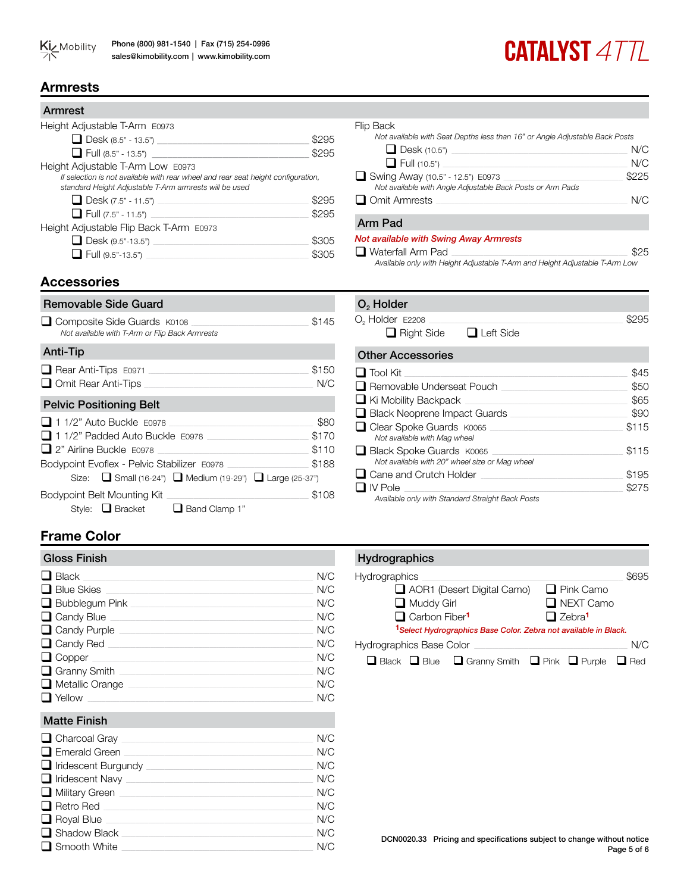## **CATALYST 4TTL**

## **Armrests**

| Armrest                                                                                                                                                                          |       |
|----------------------------------------------------------------------------------------------------------------------------------------------------------------------------------|-------|
| Height Adjustable T-Arm E0973                                                                                                                                                    |       |
| $\Box$ Desk (8.5" - 13.5")                                                                                                                                                       | \$295 |
| $\Box$ Full (8.5" - 13.5")                                                                                                                                                       | \$295 |
| Height Adjustable T-Arm Low E0973<br>If selection is not available with rear wheel and rear seat height configuration,<br>standard Height Adjustable T-Arm armrests will be used |       |
| <b>Desk</b> $(7.5" - 11.5")$                                                                                                                                                     | \$295 |
| $\Box$ Full (7.5" - 11.5")                                                                                                                                                       | \$295 |
| Height Adjustable Flip Back T-Arm E0973                                                                                                                                          |       |
| $\Box$ Desk (9.5"-13.5")                                                                                                                                                         | \$305 |
| $\Box$ Full (9.5"-13.5") _______                                                                                                                                                 |       |

## Flip Back *Not available with Seat Depths less than 16" or Angle Adjustable Back Posts* q Desk (10.5") \_\_\_\_\_\_\_\_\_\_\_\_\_\_\_\_\_\_\_\_\_\_\_\_\_\_\_\_\_\_\_\_\_\_\_\_\_\_\_\_\_\_\_\_\_\_\_\_\_\_\_\_\_\_\_\_\_\_\_\_\_\_\_\_\_\_\_\_\_\_\_\_\_\_\_\_\_\_ N/C q Full (10.5") \_\_\_\_\_\_\_\_\_\_\_\_\_\_\_\_\_\_\_\_\_\_\_\_\_\_\_\_\_\_\_\_\_\_\_\_\_\_\_\_\_\_\_\_\_\_\_\_\_\_\_\_\_\_\_\_\_\_\_\_\_\_\_\_\_\_\_\_\_\_\_\_\_\_\_\_\_\_\_\_\_\_ N/C  $\Box$  Swing Away (10.5" - 12.5") E0973 *Not available with Angle Adjustable Back Posts or Arm Pads* **Q** Omit Armrests **Let us a set of the set of the set of the set of the set of the set of the set of the set of the set of the set of the set of the set of the set of the set of the set of the set of the set of the set of** Arm Pad *Not available with Swing Away Armrests*

q Waterfall Arm Pad \_\_\_\_\_\_\_\_\_\_\_\_\_\_\_\_\_\_\_\_\_\_\_\_\_\_\_\_\_\_\_\_\_\_\_\_\_\_\_\_\_\_\_\_\_\_\_\_\_\_\_\_\_\_\_\_\_\_\_\_\_\_\_\_\_\_\_\_\_\_\_\_\_\_\_\_\_\_ \$25 *Available only with Height Adjustable T-Arm and Height Adjustable T-Arm Low*

## **Accessories**

| Removable Side Guard                                                                                                                                                                                                                          |                                 |
|-----------------------------------------------------------------------------------------------------------------------------------------------------------------------------------------------------------------------------------------------|---------------------------------|
| Composite Side Guards K0108<br>Not available with T-Arm or Flip Back Armrests                                                                                                                                                                 | \$145                           |
| Anti-Tip                                                                                                                                                                                                                                      |                                 |
| Rear Anti-Tips E0971<br>Omit Rear Anti-Tips                                                                                                                                                                                                   | \$150<br>N/C                    |
| <b>Pelvic Positioning Belt</b>                                                                                                                                                                                                                |                                 |
| $\Box$ 1 1/2" Auto Buckle $E0978$<br>$\Box$ 1 1/2" Padded Auto Buckle $E$ 0978<br>$\Box$ 2" Airline Buckle $F0978$<br>Bodypoint Evoflex - Pelvic Stabilizer E0978<br>Size: $\Box$ Small (16-24") $\Box$ Medium (19-29") $\Box$ Large (25-37") | \$80<br>\$170<br>\$110<br>\$188 |
| Bodypoint Belt Mounting Kit<br>Style: □ Bracket<br>$\Box$ Band Clamp 1"                                                                                                                                                                       | \$108                           |

## O<sub>2</sub> Holder  $O_2$  Holder E2208  $\Box$  S295  $\Box$  Dight Cide

| $\Box$ Right Side<br>LI LETT SIDE                                          |       |
|----------------------------------------------------------------------------|-------|
| <b>Other Accessories</b>                                                   |       |
| $\Box$ Tool Kit                                                            | \$45  |
| □ Removable Underseat Pouch                                                | \$50  |
| $\Box$ Ki Mobility Backpack                                                | \$65  |
| $\Box$ Black Neoprene Impact Guards                                        | \$90  |
| □ Clear Spoke Guards K0065<br>Not available with Mag wheel                 | \$115 |
| Black Spoke Guards K0065<br>Not available with 20" wheel size or Mag wheel | \$115 |
| $\Box$ Cane and Crutch Holder                                              | \$195 |
| $\Box$ IV Pole                                                             | \$275 |
| Available only with Standard Straight Back Posts                           |       |

## **Frame Color**

| <b>Gloss Finish</b>      |     |
|--------------------------|-----|
| $\Box$ Black             | N/C |
| $\Box$ Blue Skies        | N/C |
| Bubblequm Pink           | N/C |
| $\Box$ Candy Blue $\Box$ | N/C |
| $\Box$ Candy Purple      | N/C |
| $\Box$ Candy Red         | N/C |
| $\Box$ Copper            | N/C |
| Granny Smith             | N/C |
| $\Box$ Metallic Orange   | N/C |
| $\Box$ Yellow            | N/C |

## Matte Finish

| $\Box$ Charcoal Gray $\Box$  | N/C |
|------------------------------|-----|
| $\Box$ Emerald Green         | N/C |
| $\Box$ Iridescent Burgundy   | N/C |
| $\Box$ Iridescent Navy       | N/C |
| $\Box$ Military Green $\Box$ | N/C |
| $\Box$ Retro Red $\Box$      | N/C |
| $\Box$ Royal Blue            | N/C |
| $\Box$ Shadow Black          | N/C |
| $\Box$ Smooth White          | N/C |

## **Hydrographics**

| Hydrographics                                                                     | \$695                     |  |  |  |  |  |  |  |  |  |  |
|-----------------------------------------------------------------------------------|---------------------------|--|--|--|--|--|--|--|--|--|--|
| $\Box$ AOR1 (Desert Digital Camo)                                                 | $\Box$ Pink Camo          |  |  |  |  |  |  |  |  |  |  |
| $\Box$ Muddy Girl                                                                 | NEXT Camo                 |  |  |  |  |  |  |  |  |  |  |
| Carbon Fiber <sup>1</sup>                                                         | $\Box$ Zebra <sup>1</sup> |  |  |  |  |  |  |  |  |  |  |
| <sup>1</sup> Select Hydrographics Base Color. Zebra not available in Black.       |                           |  |  |  |  |  |  |  |  |  |  |
| <b>Hydrographics Base Color</b>                                                   | N/C                       |  |  |  |  |  |  |  |  |  |  |
| $\Box$ Black $\Box$ Blue $\Box$ Granny Smith $\Box$ Pink $\Box$ Purple $\Box$ Red |                           |  |  |  |  |  |  |  |  |  |  |